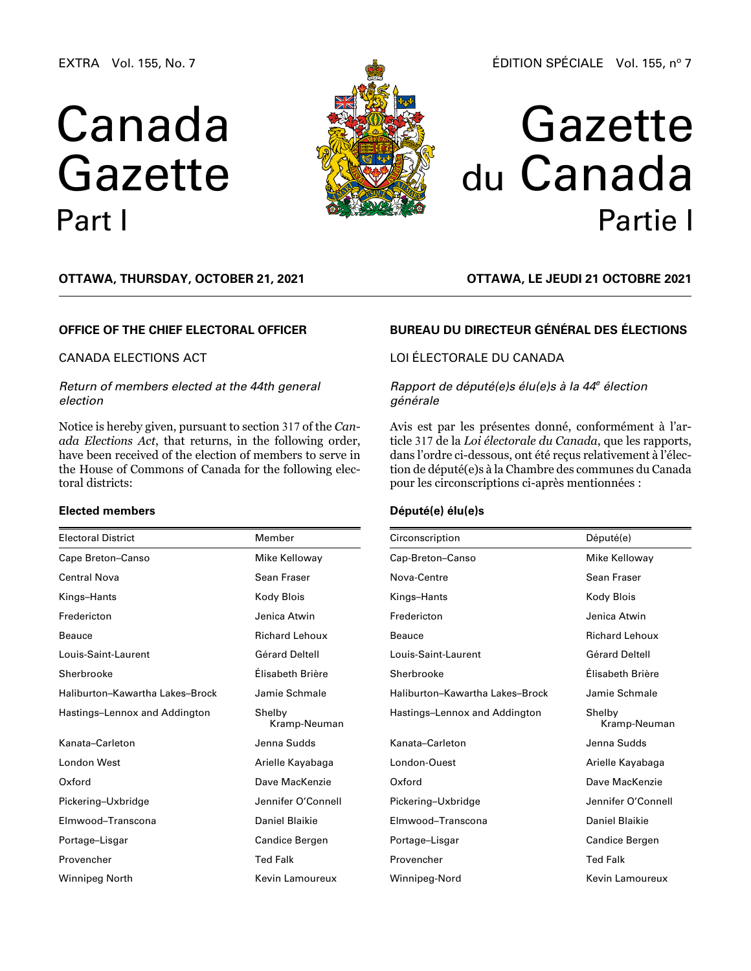EXTRA Vol. 155, No. 7

# Canada Gazette Part I



# Gazette du Canada Partie I

**OTTAWA, Thursday, October 21, 2021**

## **OFFICE OF THE CHIEF ELECTORAL OFFICER**

## CANADA ELECTIONS ACT

## *Return of members elected at the 44th general election*

Notice is hereby given, pursuant to section 317 of the *Canada Elections Act*, that returns, in the following order, have been received of the election of members to serve in the House of Commons of Canada for the following electoral districts:

### **Elected members**

| <b>Electoral District</b>       | Member                 |
|---------------------------------|------------------------|
| Cape Breton-Canso               | Mike Kelloway          |
| <b>Central Nova</b>             | Sean Fraser            |
| Kings-Hants                     | Kody Blois             |
| Fredericton                     | Jenica Atwin           |
| Beauce                          | <b>Richard Lehoux</b>  |
| Louis-Saint-Laurent             | Gérard Deltell         |
| Sherbrooke                      | Élisabeth Brière       |
| Haliburton-Kawartha Lakes-Brock | Jamie Schmale          |
| Hastings-Lennox and Addington   | Shelby<br>Kramp-Neuman |
| Kanata-Carleton                 | Jenna Sudds            |
| London West                     | Arielle Kayabaga       |
| Oxford                          | Dave MacKenzie         |
| Pickering-Uxbridge              | Jennifer O'Connell     |
| Elmwood-Transcona               | Daniel Blaikie         |
| Portage-Lisgar                  | Candice Bergen         |
| Provencher                      | <b>Ted Falk</b>        |
| Winnipeg North                  | Kevin Lamoureux        |

**OTTAWA, LE jeudi 21 octobre 2021**

## **BUREAU DU DIRECTEUR GÉNÉRAL DES ÉLECTIONS**

# LOI ÉLECTORALE DU CANADA

## *Rapport de député(e)s élu(e)s à la 44e élection générale*

Avis est par les présentes donné, conformément à l'article 317 de la *Loi électorale du Canada*, que les rapports, dans l'ordre ci-dessous, ont été reçus relativement à l'élection de député(e)s à la Chambre des communes du Canada pour les circonscriptions ci-après mentionnées :

## **Député(e) élu(e)s**

| Circonscription                 | Député(e)              |
|---------------------------------|------------------------|
| Cap-Breton-Canso                | Mike Kelloway          |
| Nova-Centre                     | Sean Fraser            |
| Kings-Hants                     | Kody Blois             |
| Fredericton                     | Jenica Atwin           |
| Beauce                          | <b>Richard Lehoux</b>  |
| Louis-Saint-Laurent             | Gérard Deltell         |
| Sherbrooke                      | Élisabeth Brière       |
| Haliburton-Kawartha Lakes-Brock | Jamie Schmale          |
| Hastings-Lennox and Addington   | Shelby<br>Kramp-Neuman |
| Kanata-Carleton                 | Jenna Sudds            |
| London-Ouest                    | Arielle Kayabaga       |
| Oxford                          | Dave MacKenzie         |
| Pickering-Uxbridge              | Jennifer O'Connell     |
| Elmwood-Transcona               | Daniel Blaikie         |
| Portage-Lisgar                  | Candice Bergen         |
| Provencher                      | <b>Ted Falk</b>        |
| Winnipeg-Nord                   | Kevin Lamoureux        |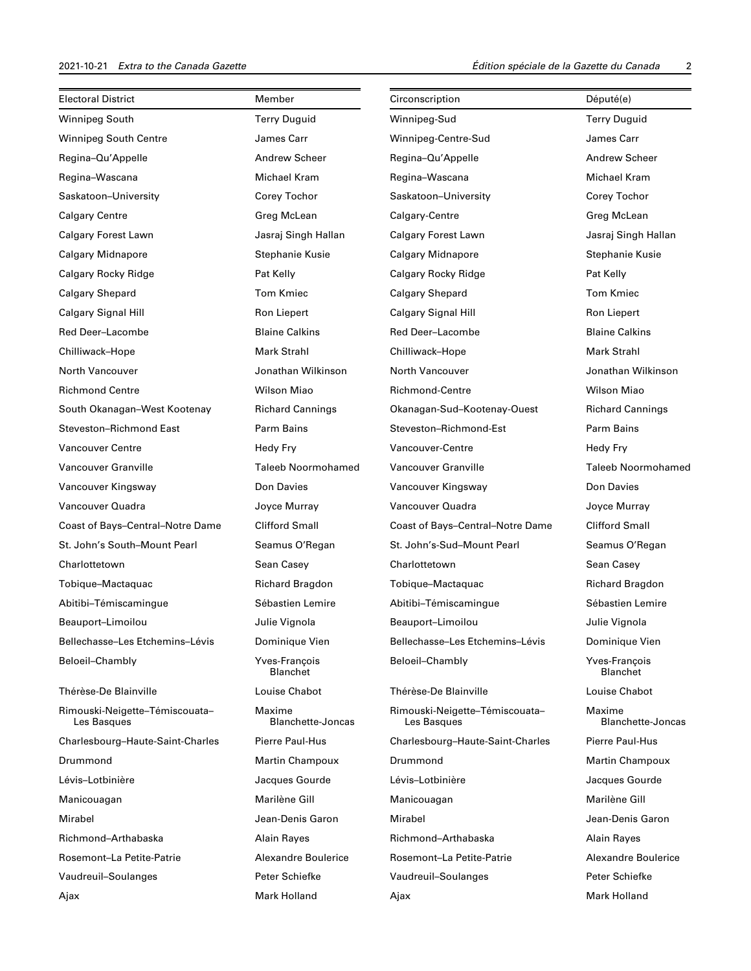| <b>Electoral District</b>                     | Member                      | Circonscription                               | Député(e)                          |
|-----------------------------------------------|-----------------------------|-----------------------------------------------|------------------------------------|
|                                               |                             |                                               |                                    |
| Winnipeg South                                | <b>Terry Duguid</b>         | Winnipeg-Sud                                  | <b>Terry Duguid</b>                |
| <b>Winnipeg South Centre</b>                  | James Carr                  | Winnipeg-Centre-Sud                           | James Carr                         |
| Regina-Qu'Appelle                             | <b>Andrew Scheer</b>        | Regina-Qu'Appelle                             | Andrew Scheer                      |
| Regina-Wascana                                | Michael Kram                | Regina-Wascana                                | Michael Kram                       |
| Saskatoon-University                          | Corey Tochor                | Saskatoon-University                          | Corey Tochor                       |
| <b>Calgary Centre</b>                         | Greg McLean                 | Calgary-Centre                                | Greg McLean                        |
| Calgary Forest Lawn                           | Jasraj Singh Hallan         | Calgary Forest Lawn                           | Jasraj Singh Hallan                |
| <b>Calgary Midnapore</b>                      | Stephanie Kusie             | <b>Calgary Midnapore</b>                      | Stephanie Kusie                    |
| Calgary Rocky Ridge                           | Pat Kelly                   | Calgary Rocky Ridge                           | Pat Kelly                          |
| <b>Calgary Shepard</b>                        | <b>Tom Kmiec</b>            | <b>Calgary Shepard</b>                        | <b>Tom Kmiec</b>                   |
| Calgary Signal Hill                           | Ron Liepert                 | Calgary Signal Hill                           | Ron Liepert                        |
| Red Deer-Lacombe                              | <b>Blaine Calkins</b>       | Red Deer-Lacombe                              | <b>Blaine Calkins</b>              |
| Chilliwack-Hope                               | <b>Mark Strahl</b>          | Chilliwack-Hope                               | <b>Mark Strahl</b>                 |
| North Vancouver                               | Jonathan Wilkinson          | North Vancouver                               | Jonathan Wilkinson                 |
| <b>Richmond Centre</b>                        | Wilson Miao                 | <b>Richmond-Centre</b>                        | Wilson Miao                        |
| South Okanagan-West Kootenay                  | <b>Richard Cannings</b>     | Okanagan-Sud-Kootenay-Ouest                   | <b>Richard Cannings</b>            |
| Steveston-Richmond East                       | Parm Bains                  | Steveston-Richmond-Est                        | Parm Bains                         |
| <b>Vancouver Centre</b>                       | Hedy Fry                    | Vancouver-Centre                              | Hedy Fry                           |
| Vancouver Granville                           | <b>Taleeb Noormohamed</b>   | Vancouver Granville                           | <b>Taleeb Noormohamed</b>          |
| Vancouver Kingsway                            | Don Davies                  | Vancouver Kingsway                            | Don Davies                         |
| Vancouver Quadra                              | Joyce Murray                | Vancouver Quadra                              | Joyce Murray                       |
| Coast of Bays-Central-Notre Dame              | <b>Clifford Small</b>       | Coast of Bays-Central-Notre Dame              | <b>Clifford Small</b>              |
| St. John's South-Mount Pearl                  | Seamus O'Regan              | St. John's-Sud-Mount Pearl                    | Seamus O'Regan                     |
| Charlottetown                                 | Sean Casey                  | Charlottetown                                 | Sean Casey                         |
| Tobique-Mactaquac                             | Richard Bragdon             | Tobique-Mactaquac                             | Richard Bragdon                    |
| Abitibi-Témiscamingue                         | Sébastien Lemire            | Abitibi-Témiscamingue                         | Sébastien Lemire                   |
| Beauport-Limoilou                             | Julie Vignola               | Beauport-Limoilou                             | Julie Vignola                      |
| Bellechasse-Les Etchemins-Lévis               | Dominique Vien              | Bellechasse-Les Etchemins-Lévis               | Dominique Vien                     |
| Beloeil-Chambly                               | Yves-François<br>Blanchet   | Beloeil-Chambly                               | Yves-François<br>Blanchet          |
| Thérèse-De Blainville                         | Louise Chabot               | Thérèse-De Blainville                         | Louise Chabot                      |
| Rimouski-Neigette-Témiscouata-<br>Les Basques | Maxime<br>Blanchette-Joncas | Rimouski-Neigette-Témiscouata-<br>Les Basques | Maxime<br><b>Blanchette-Joncas</b> |
| Charlesbourg-Haute-Saint-Charles              | Pierre Paul-Hus             | Charlesbourg-Haute-Saint-Charles              | Pierre Paul-Hus                    |
| Drummond                                      | Martin Champoux             | Drummond                                      | <b>Martin Champoux</b>             |
| Lévis-Lotbinière                              | Jacques Gourde              | Lévis-Lotbinière                              | Jacques Gourde                     |
| Manicouagan                                   | Marilène Gill               | Manicouagan                                   | Marilène Gill                      |
| Mirabel                                       | Jean-Denis Garon            | Mirabel                                       | Jean-Denis Garon                   |
| Richmond-Arthabaska                           | <b>Alain Rayes</b>          | Richmond-Arthabaska                           | Alain Rayes                        |
| Rosemont-La Petite-Patrie                     | Alexandre Boulerice         | Rosemont-La Petite-Patrie                     | Alexandre Boulerice                |
| Vaudreuil-Soulanges                           | Peter Schiefke              | Vaudreuil-Soulanges                           | Peter Schiefke                     |
| Ajax                                          | Mark Holland                | Ajax                                          | Mark Holland                       |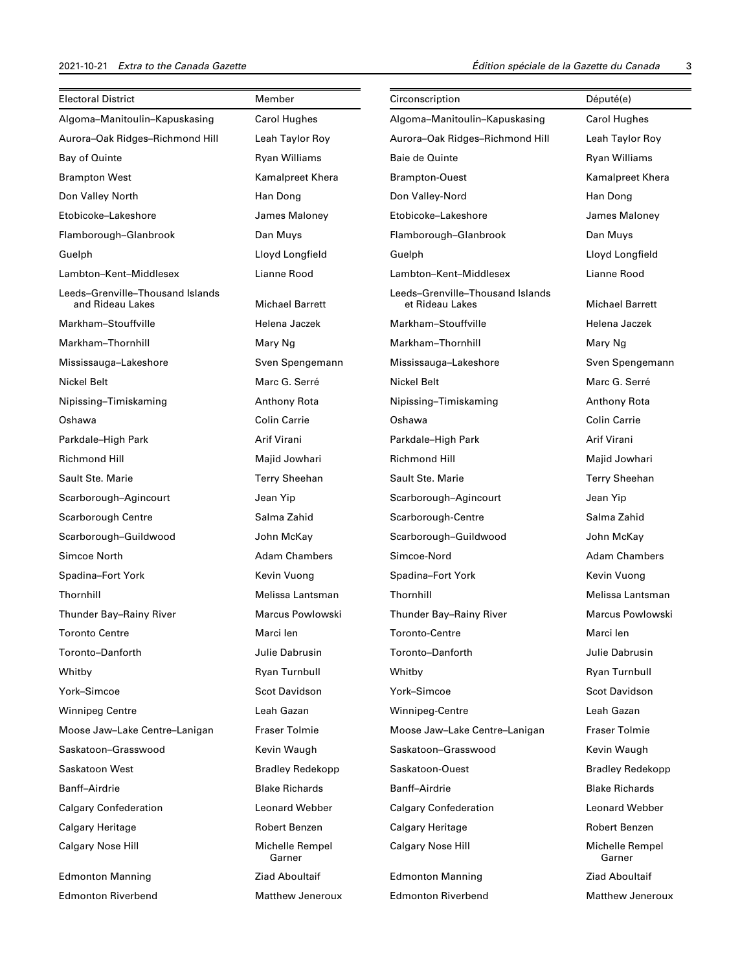| <b>Electoral District</b>                            | Member                    | Circonscription                                     | Député(e)                 |
|------------------------------------------------------|---------------------------|-----------------------------------------------------|---------------------------|
| Algoma-Manitoulin-Kapuskasing                        | <b>Carol Hughes</b>       | Algoma-Manitoulin-Kapuskasing                       | <b>Carol Hughes</b>       |
| Aurora-Oak Ridges-Richmond Hill                      | Leah Taylor Roy           | Aurora-Oak Ridges-Richmond Hill                     | Leah Taylor Roy           |
| Bay of Quinte                                        | <b>Ryan Williams</b>      | Baie de Quinte                                      | <b>Ryan Williams</b>      |
| <b>Brampton West</b>                                 | Kamalpreet Khera          | <b>Brampton-Ouest</b>                               | Kamalpreet Khera          |
| Don Valley North                                     | Han Dong                  | Don Valley-Nord                                     | Han Dong                  |
| Etobicoke-Lakeshore                                  | James Maloney             | Etobicoke-Lakeshore                                 | James Maloney             |
| Flamborough-Glanbrook                                | Dan Muys                  | Flamborough-Glanbrook                               | Dan Muys                  |
| Guelph                                               | Lloyd Longfield           | Guelph                                              | Lloyd Longfield           |
| Lambton-Kent-Middlesex                               | Lianne Rood               | Lambton-Kent-Middlesex                              | Lianne Rood               |
| Leeds-Grenville-Thousand Islands<br>and Rideau Lakes | <b>Michael Barrett</b>    | Leeds-Grenville-Thousand Islands<br>et Rideau Lakes | <b>Michael Barrett</b>    |
| Markham-Stouffville                                  | Helena Jaczek             | Markham-Stouffville                                 | Helena Jaczek             |
| Markham-Thornhill                                    | Mary Ng                   | Markham-Thornhill                                   | Mary Ng                   |
| Mississauga-Lakeshore                                | Sven Spengemann           | Mississauga-Lakeshore                               | Sven Spengemann           |
| Nickel Belt                                          | Marc G. Serré             | Nickel Belt                                         | Marc G. Serré             |
| Nipissing-Timiskaming                                | Anthony Rota              | Nipissing-Timiskaming                               | Anthony Rota              |
| Oshawa                                               | <b>Colin Carrie</b>       | Oshawa                                              | <b>Colin Carrie</b>       |
| Parkdale-High Park                                   | Arif Virani               | Parkdale-High Park                                  | Arif Virani               |
| <b>Richmond Hill</b>                                 | Majid Jowhari             | <b>Richmond Hill</b>                                | Majid Jowhari             |
| Sault Ste. Marie                                     | <b>Terry Sheehan</b>      | Sault Ste. Marie                                    | <b>Terry Sheehan</b>      |
| Scarborough-Agincourt                                | Jean Yip                  | Scarborough-Agincourt                               | Jean Yip                  |
| Scarborough Centre                                   | Salma Zahid               | Scarborough-Centre                                  | Salma Zahid               |
| Scarborough-Guildwood                                | John McKay                | Scarborough-Guildwood                               | John McKay                |
| Simcoe North                                         | <b>Adam Chambers</b>      | Simcoe-Nord                                         | <b>Adam Chambers</b>      |
| Spadina-Fort York                                    | Kevin Vuong               | Spadina-Fort York                                   | Kevin Vuong               |
| Thornhill                                            | Melissa Lantsman          | Thornhill                                           | Melissa Lantsman          |
| Thunder Bay-Rainy River                              | Marcus Powlowski          | Thunder Bay-Rainy River                             | Marcus Powlowski          |
| <b>Toronto Centre</b>                                | Marci len                 | Toronto-Centre                                      | Marci len                 |
| Toronto-Danforth                                     | Julie Dabrusin            | Toronto-Danforth                                    | Julie Dabrusin            |
| Whitby                                               | Ryan Turnbull             | Whitby                                              | Ryan Turnbull             |
| York-Simcoe                                          | <b>Scot Davidson</b>      | York-Simcoe                                         | Scot Davidson             |
| <b>Winnipeg Centre</b>                               | Leah Gazan                | Winnipeg-Centre                                     | Leah Gazan                |
| Moose Jaw-Lake Centre-Lanigan                        | <b>Fraser Tolmie</b>      | Moose Jaw-Lake Centre-Lanigan                       | <b>Fraser Tolmie</b>      |
| Saskatoon-Grasswood                                  | Kevin Waugh               | Saskatoon-Grasswood                                 | Kevin Waugh               |
| Saskatoon West                                       | <b>Bradley Redekopp</b>   | Saskatoon-Ouest                                     | <b>Bradley Redekopp</b>   |
| <b>Banff-Airdrie</b>                                 | <b>Blake Richards</b>     | Banff-Airdrie                                       | <b>Blake Richards</b>     |
| <b>Calgary Confederation</b>                         | <b>Leonard Webber</b>     | <b>Calgary Confederation</b>                        | <b>Leonard Webber</b>     |
| Calgary Heritage                                     | Robert Benzen             | Calgary Heritage                                    | Robert Benzen             |
| <b>Calgary Nose Hill</b>                             | Michelle Rempel<br>Garner | <b>Calgary Nose Hill</b>                            | Michelle Rempel<br>Garner |
| <b>Edmonton Manning</b>                              | <b>Ziad Aboultaif</b>     | <b>Edmonton Manning</b>                             | <b>Ziad Aboultaif</b>     |
| <b>Edmonton Riverbend</b>                            | <b>Matthew Jeneroux</b>   | <b>Edmonton Riverbend</b>                           | <b>Matthew Jeneroux</b>   |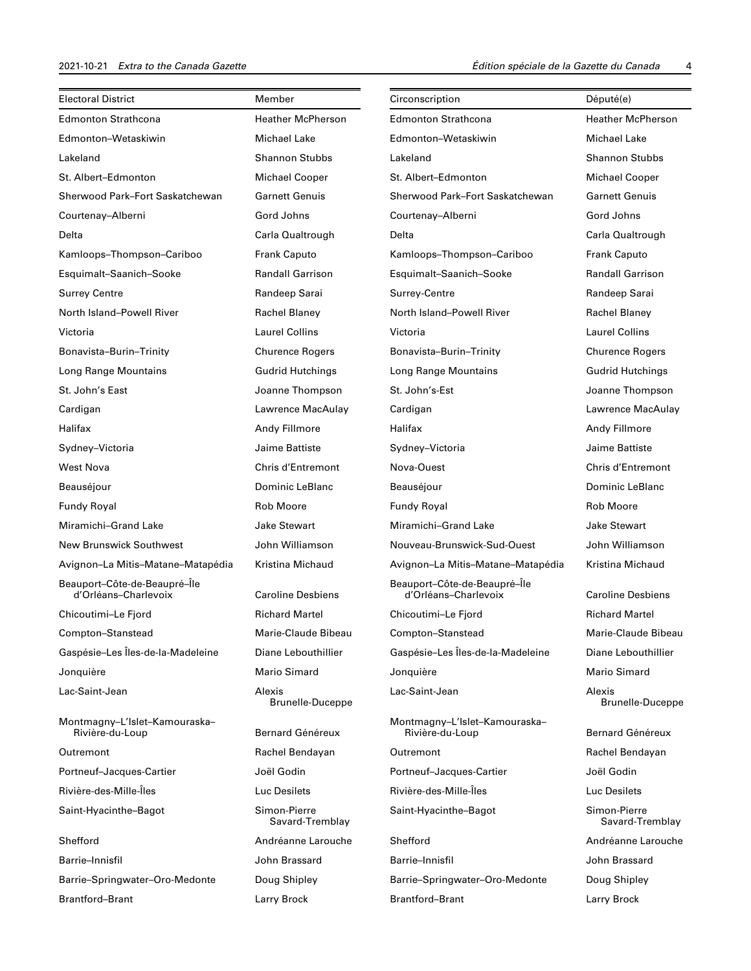| <b>Electoral District</b>                            | Member                            | Circonscription                                      | Député(e)                         |
|------------------------------------------------------|-----------------------------------|------------------------------------------------------|-----------------------------------|
| <b>Edmonton Strathcona</b>                           | <b>Heather McPherson</b>          | <b>Edmonton Strathcona</b>                           | <b>Heather McPherson</b>          |
| Edmonton-Wetaskiwin                                  | <b>Michael Lake</b>               | Edmonton-Wetaskiwin                                  | Michael Lake                      |
| Lakeland                                             | <b>Shannon Stubbs</b>             | Lakeland                                             | <b>Shannon Stubbs</b>             |
| St. Albert-Edmonton                                  | <b>Michael Cooper</b>             | St. Albert-Edmonton                                  | <b>Michael Cooper</b>             |
| Sherwood Park-Fort Saskatchewan                      | <b>Garnett Genuis</b>             | Sherwood Park-Fort Saskatchewan                      | <b>Garnett Genuis</b>             |
| Courtenay-Alberni                                    | Gord Johns                        | Courtenay-Alberni                                    | Gord Johns                        |
| Delta                                                | Carla Qualtrough                  | Delta                                                | Carla Qualtrough                  |
| Kamloops-Thompson-Cariboo                            | <b>Frank Caputo</b>               | Kamloops-Thompson-Cariboo                            | <b>Frank Caputo</b>               |
| Esquimalt-Saanich-Sooke                              | <b>Randall Garrison</b>           | Esquimalt-Saanich-Sooke                              | <b>Randall Garrison</b>           |
| <b>Surrey Centre</b>                                 | Randeep Sarai                     | Surrey-Centre                                        | Randeep Sarai                     |
| North Island-Powell River                            | Rachel Blaney                     | North Island-Powell River                            | Rachel Blaney                     |
| Victoria                                             | <b>Laurel Collins</b>             | Victoria                                             | <b>Laurel Collins</b>             |
| Bonavista-Burin-Trinity                              | <b>Churence Rogers</b>            | Bonavista-Burin-Trinity                              | <b>Churence Rogers</b>            |
| Long Range Mountains                                 | <b>Gudrid Hutchings</b>           | Long Range Mountains                                 | <b>Gudrid Hutchings</b>           |
| St. John's East                                      | Joanne Thompson                   | St. John's-Est                                       | Joanne Thompson                   |
| Cardigan                                             | Lawrence MacAulay                 | Cardigan                                             | Lawrence MacAulay                 |
| Halifax                                              | Andy Fillmore                     | Halifax                                              | Andy Fillmore                     |
| Sydney-Victoria                                      | Jaime Battiste                    | Sydney-Victoria                                      | Jaime Battiste                    |
| <b>West Nova</b>                                     | <b>Chris d'Entremont</b>          | Nova-Ouest                                           | <b>Chris d'Entremont</b>          |
| Beauséjour                                           | Dominic LeBlanc                   | Beauséjour                                           | Dominic LeBlanc                   |
| <b>Fundy Royal</b>                                   | <b>Rob Moore</b>                  | <b>Fundy Royal</b>                                   | <b>Rob Moore</b>                  |
| Miramichi-Grand Lake                                 | <b>Jake Stewart</b>               | Miramichi-Grand Lake                                 | Jake Stewart                      |
| <b>New Brunswick Southwest</b>                       | John Williamson                   | Nouveau-Brunswick-Sud-Ouest                          | John Williamson                   |
| Avignon-La Mitis-Matane-Matapédia                    | Kristina Michaud                  | Avignon-La Mitis-Matane-Matapédia                    | Kristina Michaud                  |
| Beauport-Côte-de-Beaupré-Île<br>d'Orléans-Charlevoix | <b>Caroline Desbiens</b>          | Beauport-Côte-de-Beaupré-Île<br>d'Orléans-Charlevoix | <b>Caroline Desbiens</b>          |
| Chicoutimi-Le Fjord                                  | <b>Richard Martel</b>             | Chicoutimi-Le Fjord                                  | <b>Richard Martel</b>             |
| Compton-Stanstead                                    | Marie-Claude Bibeau               | Compton-Stanstead                                    | Marie-Claude Bibeau               |
| Gaspésie-Les Îles-de-la-Madeleine                    | Diane Lebouthillier               | Gaspésie-Les Îles-de-la-Madeleine                    | Diane Lebouthillier               |
| Jonquière                                            | Mario Simard                      | Jonquière                                            | Mario Simard                      |
| Lac-Saint-Jean                                       | Alexis<br><b>Brunelle-Duceppe</b> | Lac-Saint-Jean                                       | Alexis<br><b>Brunelle-Duceppe</b> |
| Montmagny-L'Islet-Kamouraska-<br>Rivière-du-Loup     | Bernard Généreux                  | Montmagny-L'Islet-Kamouraska-<br>Rivière-du-Loup     | <b>Bernard Généreux</b>           |
| Outremont                                            | Rachel Bendayan                   | Outremont                                            | Rachel Bendayan                   |
| Portneuf-Jacques-Cartier                             | Joël Godin                        | Portneuf-Jacques-Cartier                             | Joël Godin                        |
| Rivière-des-Mille-Îles                               | Luc Desilets                      | Rivière-des-Mille-Îles                               | Luc Desilets                      |
| Saint-Hyacinthe-Bagot                                | Simon-Pierre<br>Savard-Tremblay   | Saint-Hyacinthe-Bagot                                | Simon-Pierre<br>Savard-Tremblay   |
| Shefford                                             | Andréanne Larouche                | Shefford                                             | Andréanne Larouche                |
| Barrie-Innisfil                                      | John Brassard                     | Barrie-Innisfil                                      | John Brassard                     |
| Barrie-Springwater-Oro-Medonte                       | Doug Shipley                      | Barrie-Springwater-Oro-Medonte                       | Doug Shipley                      |
| Brantford-Brant                                      | Larry Brock                       | <b>Brantford-Brant</b>                               | Larry Brock                       |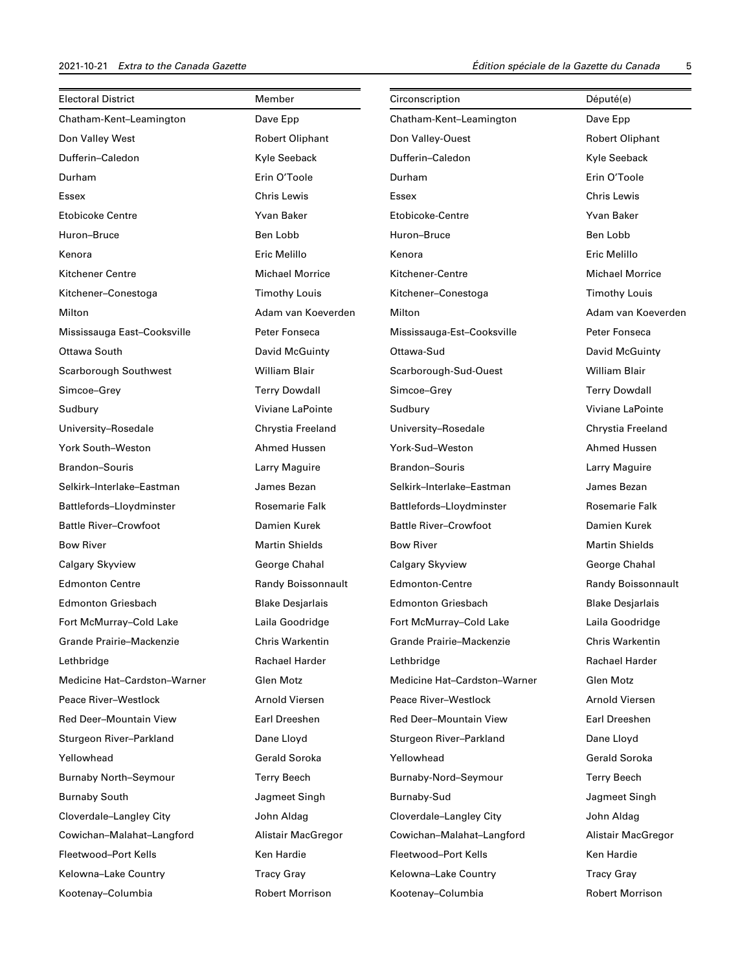| <b>Electoral District</b>     | Member                  | Circonscription               | Député(e)               |
|-------------------------------|-------------------------|-------------------------------|-------------------------|
| Chatham-Kent-Leamington       | Dave Epp                | Chatham-Kent-Leamington       | Dave Epp                |
| Don Valley West               | <b>Robert Oliphant</b>  | Don Valley-Ouest              | <b>Robert Oliphant</b>  |
| Dufferin-Caledon              | Kyle Seeback            | Dufferin-Caledon              | Kyle Seeback            |
| Durham                        | Erin O'Toole            | Durham                        | Erin O'Toole            |
| Essex                         | <b>Chris Lewis</b>      | Essex                         | <b>Chris Lewis</b>      |
| <b>Etobicoke Centre</b>       | Yvan Baker              | Etobicoke-Centre              | Yvan Baker              |
| Huron-Bruce                   | Ben Lobb                | Huron-Bruce                   | Ben Lobb                |
| Kenora                        | Eric Melillo            | Kenora                        | Eric Melillo            |
| Kitchener Centre              | <b>Michael Morrice</b>  | Kitchener-Centre              | <b>Michael Morrice</b>  |
| Kitchener-Conestoga           | <b>Timothy Louis</b>    | Kitchener-Conestoga           | <b>Timothy Louis</b>    |
| Milton                        | Adam van Koeverden      | Milton                        | Adam van Koeverden      |
| Mississauga East-Cooksville   | Peter Fonseca           | Mississauga-Est-Cooksville    | Peter Fonseca           |
| Ottawa South                  | David McGuinty          | Ottawa-Sud                    | David McGuinty          |
| Scarborough Southwest         | William Blair           | Scarborough-Sud-Ouest         | <b>William Blair</b>    |
| Simcoe-Grey                   | <b>Terry Dowdall</b>    | Simcoe-Grey                   | <b>Terry Dowdall</b>    |
| Sudbury                       | Viviane LaPointe        | Sudbury                       | Viviane LaPointe        |
| University-Rosedale           | Chrystia Freeland       | University-Rosedale           | Chrystia Freeland       |
| <b>York South-Weston</b>      | Ahmed Hussen            | York-Sud-Weston               | Ahmed Hussen            |
| Brandon-Souris                | Larry Maguire           | <b>Brandon-Souris</b>         | Larry Maguire           |
| Selkirk-Interlake-Eastman     | James Bezan             | Selkirk-Interlake-Eastman     | James Bezan             |
| Battlefords-Lloydminster      | <b>Rosemarie Falk</b>   | Battlefords-Lloydminster      | Rosemarie Falk          |
| <b>Battle River-Crowfoot</b>  | Damien Kurek            | <b>Battle River-Crowfoot</b>  | Damien Kurek            |
| <b>Bow River</b>              | <b>Martin Shields</b>   | <b>Bow River</b>              | <b>Martin Shields</b>   |
| Calgary Skyview               | George Chahal           | Calgary Skyview               | George Chahal           |
| <b>Edmonton Centre</b>        | Randy Boissonnault      | <b>Edmonton-Centre</b>        | Randy Boissonnault      |
| <b>Edmonton Griesbach</b>     | <b>Blake Desjarlais</b> | <b>Edmonton Griesbach</b>     | <b>Blake Desjarlais</b> |
| Fort McMurray-Cold Lake       | Laila Goodridge         | Fort McMurray-Cold Lake       | Laila Goodridge         |
| Grande Prairie-Mackenzie      | <b>Chris Warkentin</b>  | Grande Prairie-Mackenzie      | <b>Chris Warkentin</b>  |
| Lethbridge                    | Rachael Harder          | Lethbridge                    | Rachael Harder          |
| Medicine Hat-Cardston-Warner  | Glen Motz               | Medicine Hat-Cardston-Warner  | Glen Motz               |
| Peace River-Westlock          | Arnold Viersen          | Peace River-Westlock          | Arnold Viersen          |
| <b>Red Deer-Mountain View</b> | Earl Dreeshen           | <b>Red Deer-Mountain View</b> | Earl Dreeshen           |
| Sturgeon River-Parkland       | Dane Lloyd              | Sturgeon River-Parkland       | Dane Lloyd              |
| Yellowhead                    | <b>Gerald Soroka</b>    | Yellowhead                    | <b>Gerald Soroka</b>    |
| <b>Burnaby North-Seymour</b>  | <b>Terry Beech</b>      | Burnaby-Nord-Seymour          | Terry Beech             |
| <b>Burnaby South</b>          | Jagmeet Singh           | Burnaby-Sud                   | Jagmeet Singh           |
| Cloverdale-Langley City       | John Aldag              | Cloverdale-Langley City       | John Aldag              |
| Cowichan-Malahat-Langford     | Alistair MacGregor      | Cowichan-Malahat-Langford     | Alistair MacGregor      |
| Fleetwood-Port Kells          | Ken Hardie              | Fleetwood-Port Kells          | Ken Hardie              |
| Kelowna-Lake Country          | <b>Tracy Gray</b>       | Kelowna-Lake Country          | <b>Tracy Gray</b>       |
| Kootenay-Columbia             | <b>Robert Morrison</b>  | Kootenay-Columbia             | <b>Robert Morrison</b>  |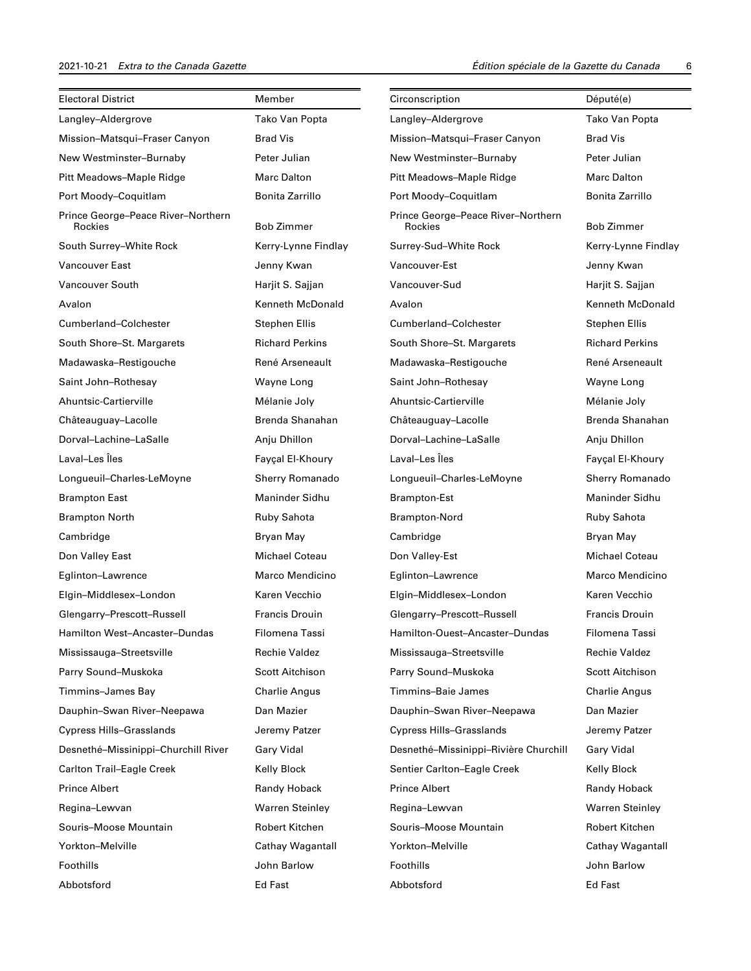| <b>Electoral District</b>                     | Member                 | Circonscription                               | Député(e)              |
|-----------------------------------------------|------------------------|-----------------------------------------------|------------------------|
| Langley-Aldergrove                            | Tako Van Popta         | Langley-Aldergrove                            | Tako Van Popta         |
| Mission-Matsqui-Fraser Canyon                 | <b>Brad Vis</b>        | Mission-Matsqui-Fraser Canyon                 | <b>Brad Vis</b>        |
| New Westminster-Burnaby                       | Peter Julian           | New Westminster-Burnaby                       | Peter Julian           |
| Pitt Meadows-Maple Ridge                      | <b>Marc Dalton</b>     | Pitt Meadows-Maple Ridge                      | <b>Marc Dalton</b>     |
| Port Moody-Coquitlam                          | Bonita Zarrillo        | Port Moody-Coquitlam                          | Bonita Zarrillo        |
| Prince George-Peace River-Northern<br>Rockies | Bob Zimmer             | Prince George-Peace River-Northern<br>Rockies | <b>Bob Zimmer</b>      |
| South Surrey-White Rock                       | Kerry-Lynne Findlay    | Surrey-Sud-White Rock                         | Kerry-Lynne Findlay    |
| <b>Vancouver East</b>                         | Jenny Kwan             | Vancouver-Est                                 | Jenny Kwan             |
| Vancouver South                               | Harjit S. Sajjan       | Vancouver-Sud                                 | Harjit S. Sajjan       |
| Avalon                                        | Kenneth McDonald       | Avalon                                        | Kenneth McDonald       |
| Cumberland-Colchester                         | <b>Stephen Ellis</b>   | Cumberland-Colchester                         | <b>Stephen Ellis</b>   |
| South Shore-St. Margarets                     | <b>Richard Perkins</b> | South Shore-St. Margarets                     | <b>Richard Perkins</b> |
| Madawaska-Restigouche                         | René Arseneault        | Madawaska-Restigouche                         | René Arseneault        |
| Saint John-Rothesay                           | Wayne Long             | Saint John-Rothesay                           | Wayne Long             |
| Ahuntsic-Cartierville                         | Mélanie Joly           | Ahuntsic-Cartierville                         | Mélanie Joly           |
| Châteauguay-Lacolle                           | Brenda Shanahan        | Châteauguay-Lacolle                           | Brenda Shanahan        |
| Dorval-Lachine-LaSalle                        | Anju Dhillon           | Dorval-Lachine-LaSalle                        | Anju Dhillon           |
| Laval-Les Îles                                | Fayçal El-Khoury       | Laval-Les Îles                                | Fayçal El-Khoury       |
| Longueuil-Charles-LeMoyne                     | <b>Sherry Romanado</b> | Longueuil-Charles-LeMoyne                     | <b>Sherry Romanado</b> |
| <b>Brampton East</b>                          | Maninder Sidhu         | <b>Brampton-Est</b>                           | Maninder Sidhu         |
| <b>Brampton North</b>                         | Ruby Sahota            | Brampton-Nord                                 | Ruby Sahota            |
| Cambridge                                     | Bryan May              | Cambridge                                     | Bryan May              |
| Don Valley East                               | <b>Michael Coteau</b>  | Don Valley-Est                                | <b>Michael Coteau</b>  |
| Eglinton-Lawrence                             | Marco Mendicino        | Eglinton-Lawrence                             | Marco Mendicino        |
| Elgin-Middlesex-London                        | Karen Vecchio          | Elgin-Middlesex-London                        | Karen Vecchio          |
| Glengarry-Prescott-Russell                    | <b>Francis Drouin</b>  | Glengarry-Prescott-Russell                    | <b>Francis Drouin</b>  |
| Hamilton West–Ancaster–Dundas                 | Filomena Tassi         | Hamilton-Ouest-Ancaster-Dundas                | Filomena Tassi         |
| Mississauga-Streetsville                      | <b>Rechie Valdez</b>   | Mississauga-Streetsville                      | <b>Rechie Valdez</b>   |
| Parry Sound-Muskoka                           | <b>Scott Aitchison</b> | Parry Sound-Muskoka                           | <b>Scott Aitchison</b> |
| Timmins-James Bay                             | <b>Charlie Angus</b>   | Timmins-Baie James                            | <b>Charlie Angus</b>   |
| Dauphin-Swan River-Neepawa                    | Dan Mazier             | Dauphin-Swan River-Neepawa                    | Dan Mazier             |
| <b>Cypress Hills-Grasslands</b>               | Jeremy Patzer          | <b>Cypress Hills-Grasslands</b>               | Jeremy Patzer          |
| Desnethé-Missinippi-Churchill River           | Gary Vidal             | Desnethé-Missinippi-Rivière Churchill         | Gary Vidal             |
| <b>Carlton Trail-Eagle Creek</b>              | Kelly Block            | Sentier Carlton-Eagle Creek                   | Kelly Block            |
| <b>Prince Albert</b>                          | Randy Hoback           | <b>Prince Albert</b>                          | Randy Hoback           |
| Regina-Lewvan                                 | <b>Warren Steinley</b> | Regina-Lewvan                                 | <b>Warren Steinley</b> |
| Souris-Moose Mountain                         | Robert Kitchen         | Souris-Moose Mountain                         | <b>Robert Kitchen</b>  |
| Yorkton-Melville                              | Cathay Wagantall       | Yorkton-Melville                              | Cathay Wagantall       |
| Foothills                                     | John Barlow            | Foothills                                     | John Barlow            |
| Abbotsford                                    | Ed Fast                | Abbotsford                                    | Ed Fast                |